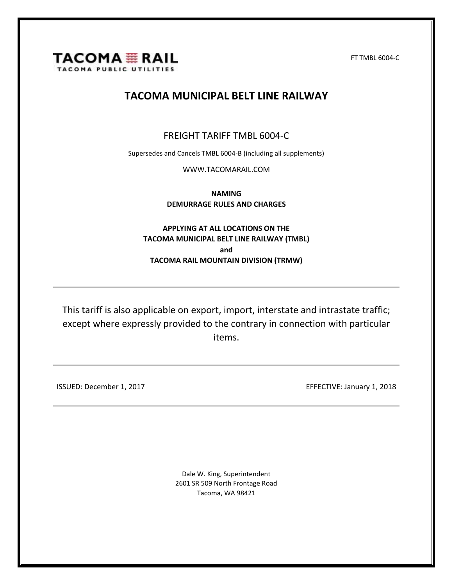

FT TMBL 6004-C

### **TACOMA MUNICIPAL BELT LINE RAILWAY**

### FREIGHT TARIFF TMBL 6004-C

Supersedes and Cancels TMBL 6004-B (including all supplements)

[WWW.TACOMARAIL.COM](http://www.tacomarail.com/)

**NAMING DEMURRAGE RULES AND CHARGES**

**APPLYING AT ALL LOCATIONS ON THE TACOMA MUNICIPAL BELT LINE RAILWAY (TMBL) and TACOMA RAIL MOUNTAIN DIVISION (TRMW)**

This tariff is also applicable on export, import, interstate and intrastate traffic; except where expressly provided to the contrary in connection with particular items.

ISSUED: December 1, 2017 **EFFECTIVE: January 1, 2018** 

Dale W. King, Superintendent 2601 SR 509 North Frontage Road Tacoma, WA 98421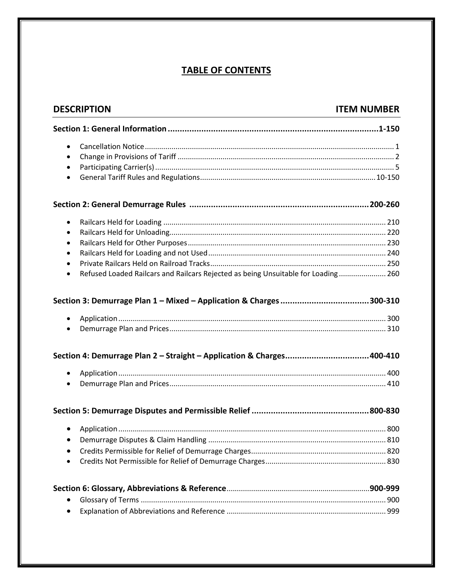### **TABLE OF CONTENTS**

| <b>DESCRIPTION</b>                                                                             | <b>ITEM NUMBER</b> |
|------------------------------------------------------------------------------------------------|--------------------|
|                                                                                                |                    |
| $\bullet$                                                                                      |                    |
| $\bullet$                                                                                      |                    |
| $\bullet$                                                                                      |                    |
| $\bullet$                                                                                      |                    |
|                                                                                                |                    |
| $\bullet$                                                                                      |                    |
| $\bullet$                                                                                      |                    |
| $\bullet$                                                                                      |                    |
| $\bullet$                                                                                      |                    |
| $\bullet$                                                                                      |                    |
| Refused Loaded Railcars and Railcars Rejected as being Unsuitable for Loading 260<br>$\bullet$ |                    |
|                                                                                                |                    |
|                                                                                                |                    |
| $\bullet$                                                                                      |                    |
| $\bullet$                                                                                      |                    |
| Section 4: Demurrage Plan 2 - Straight - Application & Charges400-410                          |                    |
| $\bullet$                                                                                      |                    |
| $\bullet$                                                                                      |                    |
|                                                                                                |                    |
|                                                                                                |                    |
|                                                                                                |                    |
|                                                                                                |                    |
|                                                                                                |                    |
|                                                                                                |                    |
|                                                                                                |                    |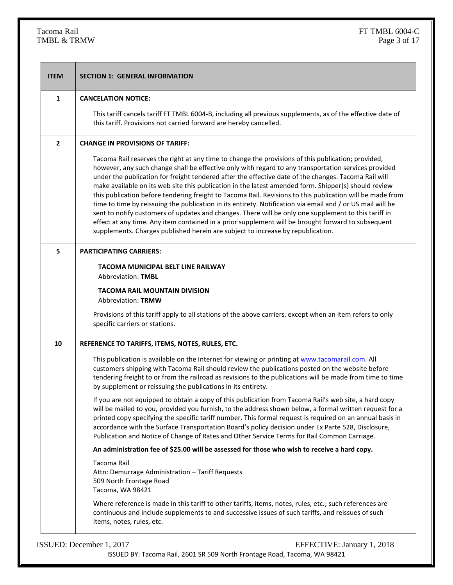# TMBL  $&$  TRMW

| 1              | <b>CANCELATION NOTICE:</b>                                                                                                                                                                                                                                                                                                                                                                                                                                                                                                                                                                                                                                                                                                                                                                                                                                                                                                                             |
|----------------|--------------------------------------------------------------------------------------------------------------------------------------------------------------------------------------------------------------------------------------------------------------------------------------------------------------------------------------------------------------------------------------------------------------------------------------------------------------------------------------------------------------------------------------------------------------------------------------------------------------------------------------------------------------------------------------------------------------------------------------------------------------------------------------------------------------------------------------------------------------------------------------------------------------------------------------------------------|
|                | This tariff cancels tariff FT TMBL 6004-B, including all previous supplements, as of the effective date of<br>this tariff. Provisions not carried forward are hereby cancelled.                                                                                                                                                                                                                                                                                                                                                                                                                                                                                                                                                                                                                                                                                                                                                                        |
| $\overline{2}$ | <b>CHANGE IN PROVISIONS OF TARIFF:</b>                                                                                                                                                                                                                                                                                                                                                                                                                                                                                                                                                                                                                                                                                                                                                                                                                                                                                                                 |
|                | Tacoma Rail reserves the right at any time to change the provisions of this publication; provided,<br>however, any such change shall be effective only with regard to any transportation services provided<br>under the publication for freight tendered after the effective date of the changes. Tacoma Rail will<br>make available on its web site this publication in the latest amended form. Shipper(s) should review<br>this publication before tendering freight to Tacoma Rail. Revisions to this publication will be made from<br>time to time by reissuing the publication in its entirety. Notification via email and / or US mail will be<br>sent to notify customers of updates and changes. There will be only one supplement to this tariff in<br>effect at any time. Any item contained in a prior supplement will be brought forward to subsequent<br>supplements. Charges published herein are subject to increase by republication. |
| 5              | <b>PARTICIPATING CARRIERS:</b>                                                                                                                                                                                                                                                                                                                                                                                                                                                                                                                                                                                                                                                                                                                                                                                                                                                                                                                         |
|                | TACOMA MUNICIPAL BELT LINE RAILWAY<br><b>Abbreviation: TMBL</b>                                                                                                                                                                                                                                                                                                                                                                                                                                                                                                                                                                                                                                                                                                                                                                                                                                                                                        |
|                | <b>TACOMA RAIL MOUNTAIN DIVISION</b><br><b>Abbreviation: TRMW</b>                                                                                                                                                                                                                                                                                                                                                                                                                                                                                                                                                                                                                                                                                                                                                                                                                                                                                      |
|                | Provisions of this tariff apply to all stations of the above carriers, except when an item refers to only<br>specific carriers or stations.                                                                                                                                                                                                                                                                                                                                                                                                                                                                                                                                                                                                                                                                                                                                                                                                            |
| 10             | REFERENCE TO TARIFFS, ITEMS, NOTES, RULES, ETC.                                                                                                                                                                                                                                                                                                                                                                                                                                                                                                                                                                                                                                                                                                                                                                                                                                                                                                        |
|                | This publication is available on the Internet for viewing or printing at www.tacomarail.com. All<br>customers shipping with Tacoma Rail should review the publications posted on the website before<br>tendering freight to or from the railroad as revisions to the publications will be made from time to time<br>by supplement or reissuing the publications in its entirety.                                                                                                                                                                                                                                                                                                                                                                                                                                                                                                                                                                       |
|                | If you are not equipped to obtain a copy of this publication from Tacoma Rail's web site, a hard copy<br>will be mailed to you, provided you furnish, to the address shown below, a formal written request for a<br>printed copy specifying the specific tariff number. This formal request is required on an annual basis in<br>accordance with the Surface Transportation Board's policy decision under Ex Parte 528, Disclosure,<br>Publication and Notice of Change of Rates and Other Service Terms for Rail Common Carriage.                                                                                                                                                                                                                                                                                                                                                                                                                     |
|                | An administration fee of \$25.00 will be assessed for those who wish to receive a hard copy.                                                                                                                                                                                                                                                                                                                                                                                                                                                                                                                                                                                                                                                                                                                                                                                                                                                           |
|                | Tacoma Rail<br>Attn: Demurrage Administration - Tariff Requests<br>509 North Frontage Road<br>Tacoma, WA 98421                                                                                                                                                                                                                                                                                                                                                                                                                                                                                                                                                                                                                                                                                                                                                                                                                                         |
|                | Where reference is made in this tariff to other tariffs, items, notes, rules, etc.; such references are<br>continuous and include supplements to and successive issues of such tariffs, and reissues of such<br>items, notes, rules, etc.                                                                                                                                                                                                                                                                                                                                                                                                                                                                                                                                                                                                                                                                                                              |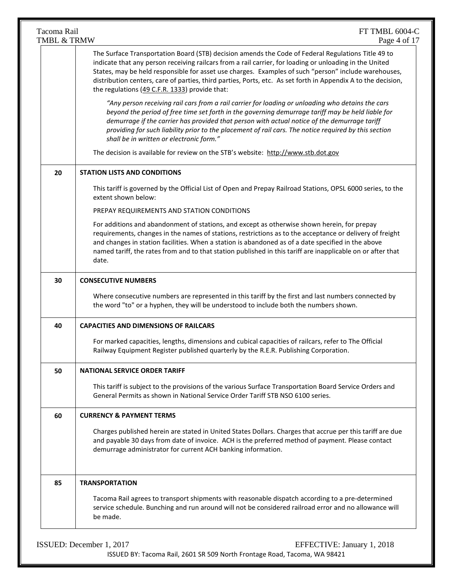| The Surface Transportation Board (STB) decision amends the Code of Federal Regulations Title 49 to<br>indicate that any person receiving railcars from a rail carrier, for loading or unloading in the United<br>the regulations (49 C.F.R. 1333) provide that:<br>"Any person receiving rail cars from a rail carrier for loading or unloading who detains the cars<br>beyond the period of free time set forth in the governing demurrage tariff may be held liable for<br>demurrage if the carrier has provided that person with actual notice of the demurrage tariff<br>providing for such liability prior to the placement of rail cars. The notice required by this section<br>shall be in written or electronic form."<br>The decision is available for review on the STB's website: http://www.stb.dot.gov<br>20<br><b>STATION LISTS AND CONDITIONS</b><br>extent shown below:<br>PREPAY REQUIREMENTS AND STATION CONDITIONS<br>For additions and abandonment of stations, and except as otherwise shown herein, for prepay<br>and changes in station facilities. When a station is abandoned as of a date specified in the above<br>date.<br>30<br><b>CONSECUTIVE NUMBERS</b><br>the word "to" or a hyphen, they will be understood to include both the numbers shown.<br><b>CAPACITIES AND DIMENSIONS OF RAILCARS</b><br>40<br>For marked capacities, lengths, dimensions and cubical capacities of railcars, refer to The Official<br>Railway Equipment Register published quarterly by the R.E.R. Publishing Corporation.<br>50<br><b>NATIONAL SERVICE ORDER TARIFF</b><br>General Permits as shown in National Service Order Tariff STB NSO 6100 series.<br>60<br><b>CURRENCY &amp; PAYMENT TERMS</b><br>and payable 30 days from date of invoice. ACH is the preferred method of payment. Please contact<br>demurrage administrator for current ACH banking information.<br><b>TRANSPORTATION</b><br>85<br>Tacoma Rail agrees to transport shipments with reasonable dispatch according to a pre-determined | Tacoma Rail<br>TMBL & TRMW | FT TMBL 6004-C<br>Page 4 of 17                                                                                                                                                                                          |
|----------------------------------------------------------------------------------------------------------------------------------------------------------------------------------------------------------------------------------------------------------------------------------------------------------------------------------------------------------------------------------------------------------------------------------------------------------------------------------------------------------------------------------------------------------------------------------------------------------------------------------------------------------------------------------------------------------------------------------------------------------------------------------------------------------------------------------------------------------------------------------------------------------------------------------------------------------------------------------------------------------------------------------------------------------------------------------------------------------------------------------------------------------------------------------------------------------------------------------------------------------------------------------------------------------------------------------------------------------------------------------------------------------------------------------------------------------------------------------------------------------------------------------------------------------------------------------------------------------------------------------------------------------------------------------------------------------------------------------------------------------------------------------------------------------------------------------------------------------------------------------------------------------------------------------------------------------------------------------------------------------------------------|----------------------------|-------------------------------------------------------------------------------------------------------------------------------------------------------------------------------------------------------------------------|
|                                                                                                                                                                                                                                                                                                                                                                                                                                                                                                                                                                                                                                                                                                                                                                                                                                                                                                                                                                                                                                                                                                                                                                                                                                                                                                                                                                                                                                                                                                                                                                                                                                                                                                                                                                                                                                                                                                                                                                                                                            |                            | States, may be held responsible for asset use charges. Examples of such "person" include warehouses,<br>distribution centers, care of parties, third parties, Ports, etc. As set forth in Appendix A to the decision,   |
|                                                                                                                                                                                                                                                                                                                                                                                                                                                                                                                                                                                                                                                                                                                                                                                                                                                                                                                                                                                                                                                                                                                                                                                                                                                                                                                                                                                                                                                                                                                                                                                                                                                                                                                                                                                                                                                                                                                                                                                                                            |                            |                                                                                                                                                                                                                         |
|                                                                                                                                                                                                                                                                                                                                                                                                                                                                                                                                                                                                                                                                                                                                                                                                                                                                                                                                                                                                                                                                                                                                                                                                                                                                                                                                                                                                                                                                                                                                                                                                                                                                                                                                                                                                                                                                                                                                                                                                                            |                            |                                                                                                                                                                                                                         |
|                                                                                                                                                                                                                                                                                                                                                                                                                                                                                                                                                                                                                                                                                                                                                                                                                                                                                                                                                                                                                                                                                                                                                                                                                                                                                                                                                                                                                                                                                                                                                                                                                                                                                                                                                                                                                                                                                                                                                                                                                            |                            |                                                                                                                                                                                                                         |
|                                                                                                                                                                                                                                                                                                                                                                                                                                                                                                                                                                                                                                                                                                                                                                                                                                                                                                                                                                                                                                                                                                                                                                                                                                                                                                                                                                                                                                                                                                                                                                                                                                                                                                                                                                                                                                                                                                                                                                                                                            |                            | This tariff is governed by the Official List of Open and Prepay Railroad Stations, OPSL 6000 series, to the                                                                                                             |
|                                                                                                                                                                                                                                                                                                                                                                                                                                                                                                                                                                                                                                                                                                                                                                                                                                                                                                                                                                                                                                                                                                                                                                                                                                                                                                                                                                                                                                                                                                                                                                                                                                                                                                                                                                                                                                                                                                                                                                                                                            |                            |                                                                                                                                                                                                                         |
|                                                                                                                                                                                                                                                                                                                                                                                                                                                                                                                                                                                                                                                                                                                                                                                                                                                                                                                                                                                                                                                                                                                                                                                                                                                                                                                                                                                                                                                                                                                                                                                                                                                                                                                                                                                                                                                                                                                                                                                                                            |                            | requirements, changes in the names of stations, restrictions as to the acceptance or delivery of freight<br>named tariff, the rates from and to that station published in this tariff are inapplicable on or after that |
|                                                                                                                                                                                                                                                                                                                                                                                                                                                                                                                                                                                                                                                                                                                                                                                                                                                                                                                                                                                                                                                                                                                                                                                                                                                                                                                                                                                                                                                                                                                                                                                                                                                                                                                                                                                                                                                                                                                                                                                                                            |                            |                                                                                                                                                                                                                         |
|                                                                                                                                                                                                                                                                                                                                                                                                                                                                                                                                                                                                                                                                                                                                                                                                                                                                                                                                                                                                                                                                                                                                                                                                                                                                                                                                                                                                                                                                                                                                                                                                                                                                                                                                                                                                                                                                                                                                                                                                                            |                            | Where consecutive numbers are represented in this tariff by the first and last numbers connected by                                                                                                                     |
|                                                                                                                                                                                                                                                                                                                                                                                                                                                                                                                                                                                                                                                                                                                                                                                                                                                                                                                                                                                                                                                                                                                                                                                                                                                                                                                                                                                                                                                                                                                                                                                                                                                                                                                                                                                                                                                                                                                                                                                                                            |                            |                                                                                                                                                                                                                         |
|                                                                                                                                                                                                                                                                                                                                                                                                                                                                                                                                                                                                                                                                                                                                                                                                                                                                                                                                                                                                                                                                                                                                                                                                                                                                                                                                                                                                                                                                                                                                                                                                                                                                                                                                                                                                                                                                                                                                                                                                                            |                            |                                                                                                                                                                                                                         |
|                                                                                                                                                                                                                                                                                                                                                                                                                                                                                                                                                                                                                                                                                                                                                                                                                                                                                                                                                                                                                                                                                                                                                                                                                                                                                                                                                                                                                                                                                                                                                                                                                                                                                                                                                                                                                                                                                                                                                                                                                            |                            |                                                                                                                                                                                                                         |
|                                                                                                                                                                                                                                                                                                                                                                                                                                                                                                                                                                                                                                                                                                                                                                                                                                                                                                                                                                                                                                                                                                                                                                                                                                                                                                                                                                                                                                                                                                                                                                                                                                                                                                                                                                                                                                                                                                                                                                                                                            |                            | This tariff is subject to the provisions of the various Surface Transportation Board Service Orders and                                                                                                                 |
|                                                                                                                                                                                                                                                                                                                                                                                                                                                                                                                                                                                                                                                                                                                                                                                                                                                                                                                                                                                                                                                                                                                                                                                                                                                                                                                                                                                                                                                                                                                                                                                                                                                                                                                                                                                                                                                                                                                                                                                                                            |                            |                                                                                                                                                                                                                         |
|                                                                                                                                                                                                                                                                                                                                                                                                                                                                                                                                                                                                                                                                                                                                                                                                                                                                                                                                                                                                                                                                                                                                                                                                                                                                                                                                                                                                                                                                                                                                                                                                                                                                                                                                                                                                                                                                                                                                                                                                                            |                            | Charges published herein are stated in United States Dollars. Charges that accrue per this tariff are due                                                                                                               |
|                                                                                                                                                                                                                                                                                                                                                                                                                                                                                                                                                                                                                                                                                                                                                                                                                                                                                                                                                                                                                                                                                                                                                                                                                                                                                                                                                                                                                                                                                                                                                                                                                                                                                                                                                                                                                                                                                                                                                                                                                            |                            |                                                                                                                                                                                                                         |
|                                                                                                                                                                                                                                                                                                                                                                                                                                                                                                                                                                                                                                                                                                                                                                                                                                                                                                                                                                                                                                                                                                                                                                                                                                                                                                                                                                                                                                                                                                                                                                                                                                                                                                                                                                                                                                                                                                                                                                                                                            |                            | service schedule. Bunching and run around will not be considered railroad error and no allowance will<br>be made.                                                                                                       |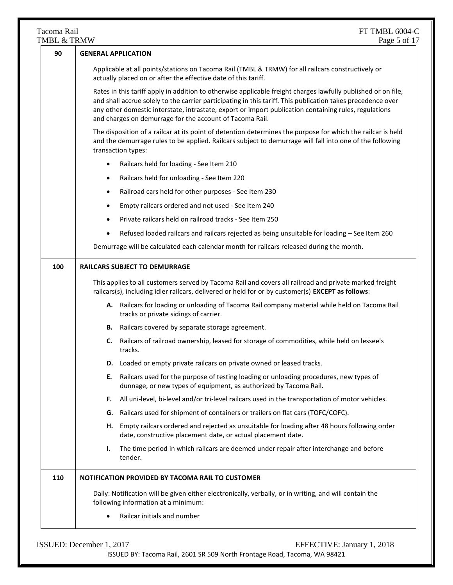| TMBL & TRMW | Page 5 of 17                                                                                                                                                                                                                                                                                                                                                                                      |
|-------------|---------------------------------------------------------------------------------------------------------------------------------------------------------------------------------------------------------------------------------------------------------------------------------------------------------------------------------------------------------------------------------------------------|
| 90          | <b>GENERAL APPLICATION</b>                                                                                                                                                                                                                                                                                                                                                                        |
|             | Applicable at all points/stations on Tacoma Rail (TMBL & TRMW) for all railcars constructively or<br>actually placed on or after the effective date of this tariff.                                                                                                                                                                                                                               |
|             | Rates in this tariff apply in addition to otherwise applicable freight charges lawfully published or on file,<br>and shall accrue solely to the carrier participating in this tariff. This publication takes precedence over<br>any other domestic interstate, intrastate, export or import publication containing rules, regulations<br>and charges on demurrage for the account of Tacoma Rail. |
|             | The disposition of a railcar at its point of detention determines the purpose for which the railcar is held<br>and the demurrage rules to be applied. Railcars subject to demurrage will fall into one of the following<br>transaction types:                                                                                                                                                     |
|             | Railcars held for loading - See Item 210<br>$\bullet$                                                                                                                                                                                                                                                                                                                                             |
|             | Railcars held for unloading - See Item 220                                                                                                                                                                                                                                                                                                                                                        |
|             | Railroad cars held for other purposes - See Item 230                                                                                                                                                                                                                                                                                                                                              |
|             | Empty railcars ordered and not used - See Item 240                                                                                                                                                                                                                                                                                                                                                |
|             | Private railcars held on railroad tracks - See Item 250                                                                                                                                                                                                                                                                                                                                           |
|             | Refused loaded railcars and railcars rejected as being unsuitable for loading - See Item 260                                                                                                                                                                                                                                                                                                      |
|             | Demurrage will be calculated each calendar month for railcars released during the month.                                                                                                                                                                                                                                                                                                          |
| 100         | <b>RAILCARS SUBJECT TO DEMURRAGE</b>                                                                                                                                                                                                                                                                                                                                                              |
|             | This applies to all customers served by Tacoma Rail and covers all railroad and private marked freight<br>railcars(s), including idler railcars, delivered or held for or by customer(s) EXCEPT as follows:                                                                                                                                                                                       |
|             | A. Railcars for loading or unloading of Tacoma Rail company material while held on Tacoma Rail<br>tracks or private sidings of carrier.                                                                                                                                                                                                                                                           |
|             | Railcars covered by separate storage agreement.<br>В.                                                                                                                                                                                                                                                                                                                                             |
|             | Railcars of railroad ownership, leased for storage of commodities, while held on lessee's<br>C.<br>tracks.                                                                                                                                                                                                                                                                                        |
|             | D. Loaded or empty private railcars on private owned or leased tracks.                                                                                                                                                                                                                                                                                                                            |
|             | Railcars used for the purpose of testing loading or unloading procedures, new types of<br>Е.<br>dunnage, or new types of equipment, as authorized by Tacoma Rail.                                                                                                                                                                                                                                 |
|             | All uni-level, bi-level and/or tri-level railcars used in the transportation of motor vehicles.<br>F.                                                                                                                                                                                                                                                                                             |
|             | Railcars used for shipment of containers or trailers on flat cars (TOFC/COFC).<br>G.                                                                                                                                                                                                                                                                                                              |
|             | Empty railcars ordered and rejected as unsuitable for loading after 48 hours following order<br>н.<br>date, constructive placement date, or actual placement date.                                                                                                                                                                                                                                |
|             | The time period in which railcars are deemed under repair after interchange and before<br>ı.<br>tender.                                                                                                                                                                                                                                                                                           |
| 110         | NOTIFICATION PROVIDED BY TACOMA RAIL TO CUSTOMER                                                                                                                                                                                                                                                                                                                                                  |
|             | Daily: Notification will be given either electronically, verbally, or in writing, and will contain the<br>following information at a minimum:                                                                                                                                                                                                                                                     |
|             | Railcar initials and number                                                                                                                                                                                                                                                                                                                                                                       |

ISSUED: December 1, 2017 EFFECTIVE: January 1, 2018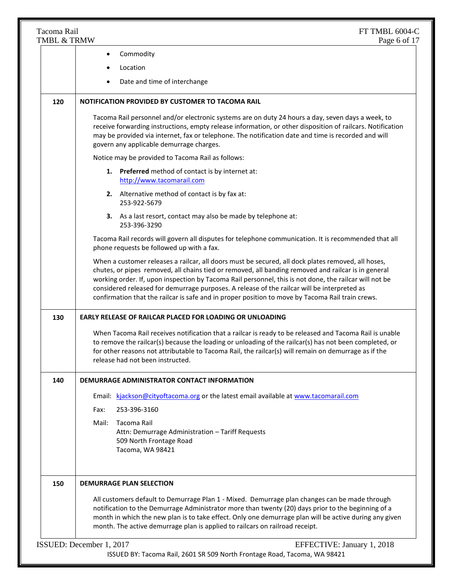| Tacoma Rail<br>TMBL & TRMW | FT TMBL 6004-C<br>Page 6 of 17                                                                                                                                                                                                                                                                                                                                                                                                                                                                                         |
|----------------------------|------------------------------------------------------------------------------------------------------------------------------------------------------------------------------------------------------------------------------------------------------------------------------------------------------------------------------------------------------------------------------------------------------------------------------------------------------------------------------------------------------------------------|
|                            | Commodity<br>$\bullet$                                                                                                                                                                                                                                                                                                                                                                                                                                                                                                 |
|                            | Location                                                                                                                                                                                                                                                                                                                                                                                                                                                                                                               |
|                            | Date and time of interchange                                                                                                                                                                                                                                                                                                                                                                                                                                                                                           |
| 120                        | NOTIFICATION PROVIDED BY CUSTOMER TO TACOMA RAIL                                                                                                                                                                                                                                                                                                                                                                                                                                                                       |
|                            | Tacoma Rail personnel and/or electronic systems are on duty 24 hours a day, seven days a week, to<br>receive forwarding instructions, empty release information, or other disposition of railcars. Notification<br>may be provided via internet, fax or telephone. The notification date and time is recorded and will<br>govern any applicable demurrage charges.                                                                                                                                                     |
|                            | Notice may be provided to Tacoma Rail as follows:                                                                                                                                                                                                                                                                                                                                                                                                                                                                      |
|                            | 1. Preferred method of contact is by internet at:<br>http://www.tacomarail.com                                                                                                                                                                                                                                                                                                                                                                                                                                         |
|                            | 2. Alternative method of contact is by fax at:<br>253-922-5679                                                                                                                                                                                                                                                                                                                                                                                                                                                         |
|                            | 3. As a last resort, contact may also be made by telephone at:<br>253-396-3290                                                                                                                                                                                                                                                                                                                                                                                                                                         |
|                            | Tacoma Rail records will govern all disputes for telephone communication. It is recommended that all<br>phone requests be followed up with a fax.                                                                                                                                                                                                                                                                                                                                                                      |
|                            | When a customer releases a railcar, all doors must be secured, all dock plates removed, all hoses,<br>chutes, or pipes removed, all chains tied or removed, all banding removed and railcar is in general<br>working order. If, upon inspection by Tacoma Rail personnel, this is not done, the railcar will not be<br>considered released for demurrage purposes. A release of the railcar will be interpreted as<br>confirmation that the railcar is safe and in proper position to move by Tacoma Rail train crews. |
| 130                        | <b>EARLY RELEASE OF RAILCAR PLACED FOR LOADING OR UNLOADING</b>                                                                                                                                                                                                                                                                                                                                                                                                                                                        |
|                            | When Tacoma Rail receives notification that a railcar is ready to be released and Tacoma Rail is unable<br>to remove the railcar(s) because the loading or unloading of the railcar(s) has not been completed, or<br>for other reasons not attributable to Tacoma Rail, the railcar(s) will remain on demurrage as if the<br>release had not been instructed.                                                                                                                                                          |
| 140                        | DEMURRAGE ADMINISTRATOR CONTACT INFORMATION                                                                                                                                                                                                                                                                                                                                                                                                                                                                            |
|                            | Email: kjackson@cityoftacoma.org or the latest email available at www.tacomarail.com                                                                                                                                                                                                                                                                                                                                                                                                                                   |
|                            | 253-396-3160<br>Fax:                                                                                                                                                                                                                                                                                                                                                                                                                                                                                                   |
|                            | Tacoma Rail<br>Mail:<br>Attn: Demurrage Administration - Tariff Requests<br>509 North Frontage Road<br>Tacoma, WA 98421                                                                                                                                                                                                                                                                                                                                                                                                |
| 150                        | <b>DEMURRAGE PLAN SELECTION</b>                                                                                                                                                                                                                                                                                                                                                                                                                                                                                        |
|                            | All customers default to Demurrage Plan 1 - Mixed. Demurrage plan changes can be made through<br>notification to the Demurrage Administrator more than twenty (20) days prior to the beginning of a<br>month in which the new plan is to take effect. Only one demurrage plan will be active during any given<br>month. The active demurrage plan is applied to railcars on railroad receipt.                                                                                                                          |
|                            | ISSUED: December 1, 2017<br>EFFECTIVE: January 1, 2018                                                                                                                                                                                                                                                                                                                                                                                                                                                                 |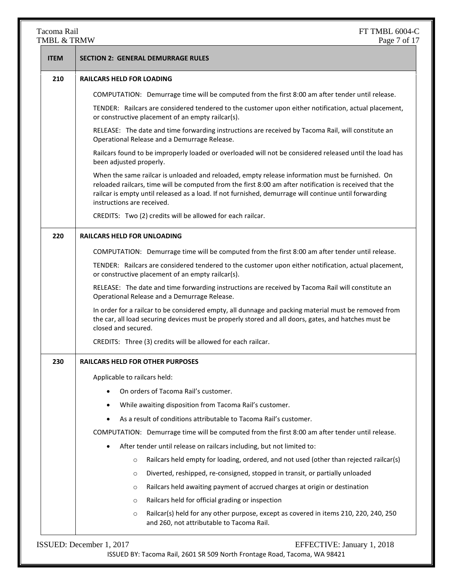## TMBL  $&$  TRMW

| <b>ITEM</b> | <b>SECTION 2: GENERAL DEMURRAGE RULES</b>                                                                                                                                                                                                                                                                                                         |
|-------------|---------------------------------------------------------------------------------------------------------------------------------------------------------------------------------------------------------------------------------------------------------------------------------------------------------------------------------------------------|
| 210         | <b>RAILCARS HELD FOR LOADING</b>                                                                                                                                                                                                                                                                                                                  |
|             | COMPUTATION: Demurrage time will be computed from the first 8:00 am after tender until release.                                                                                                                                                                                                                                                   |
|             | TENDER: Railcars are considered tendered to the customer upon either notification, actual placement,<br>or constructive placement of an empty railcar(s).                                                                                                                                                                                         |
|             | RELEASE: The date and time forwarding instructions are received by Tacoma Rail, will constitute an<br>Operational Release and a Demurrage Release.                                                                                                                                                                                                |
|             | Railcars found to be improperly loaded or overloaded will not be considered released until the load has<br>been adjusted properly.                                                                                                                                                                                                                |
|             | When the same railcar is unloaded and reloaded, empty release information must be furnished. On<br>reloaded railcars, time will be computed from the first 8:00 am after notification is received that the<br>railcar is empty until released as a load. If not furnished, demurrage will continue until forwarding<br>instructions are received. |
|             | CREDITS: Two (2) credits will be allowed for each railcar.                                                                                                                                                                                                                                                                                        |
| 220         | <b>RAILCARS HELD FOR UNLOADING</b>                                                                                                                                                                                                                                                                                                                |
|             | COMPUTATION: Demurrage time will be computed from the first 8:00 am after tender until release.                                                                                                                                                                                                                                                   |
|             | TENDER: Railcars are considered tendered to the customer upon either notification, actual placement,<br>or constructive placement of an empty railcar(s).                                                                                                                                                                                         |
|             | RELEASE: The date and time forwarding instructions are received by Tacoma Rail will constitute an<br>Operational Release and a Demurrage Release.                                                                                                                                                                                                 |
|             | In order for a railcar to be considered empty, all dunnage and packing material must be removed from<br>the car, all load securing devices must be properly stored and all doors, gates, and hatches must be<br>closed and secured.                                                                                                               |
|             | CREDITS: Three (3) credits will be allowed for each railcar.                                                                                                                                                                                                                                                                                      |
| 230         | <b>RAILCARS HELD FOR OTHER PURPOSES</b>                                                                                                                                                                                                                                                                                                           |
|             | Applicable to railcars held:                                                                                                                                                                                                                                                                                                                      |
|             | On orders of Tacoma Rail's customer.                                                                                                                                                                                                                                                                                                              |
|             | While awaiting disposition from Tacoma Rail's customer.                                                                                                                                                                                                                                                                                           |
|             | As a result of conditions attributable to Tacoma Rail's customer.                                                                                                                                                                                                                                                                                 |
|             | COMPUTATION: Demurrage time will be computed from the first 8:00 am after tender until release.                                                                                                                                                                                                                                                   |
|             | After tender until release on railcars including, but not limited to:                                                                                                                                                                                                                                                                             |
|             | Railcars held empty for loading, ordered, and not used (other than rejected railcar(s)<br>$\circ$                                                                                                                                                                                                                                                 |
|             | Diverted, reshipped, re-consigned, stopped in transit, or partially unloaded<br>$\circ$                                                                                                                                                                                                                                                           |
|             | Railcars held awaiting payment of accrued charges at origin or destination<br>$\circ$                                                                                                                                                                                                                                                             |
|             | Railcars held for official grading or inspection<br>$\circ$                                                                                                                                                                                                                                                                                       |
|             | Railcar(s) held for any other purpose, except as covered in items 210, 220, 240, 250<br>$\circ$<br>and 260, not attributable to Tacoma Rail.                                                                                                                                                                                                      |
|             | ISSUED: December 1, 2017<br>EFFECTIVE: January 1, 2018                                                                                                                                                                                                                                                                                            |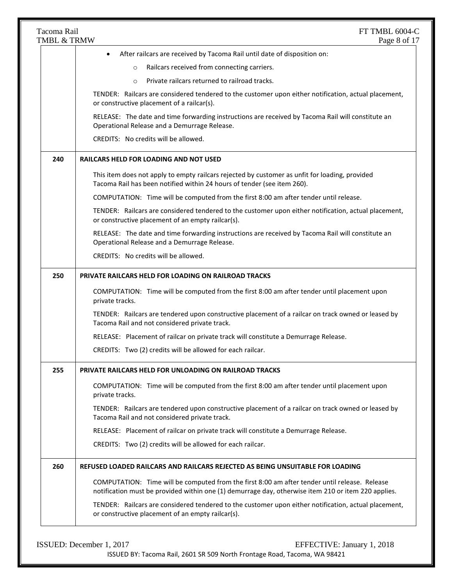| Tacoma Rail<br>TMBL & TRMW | FT TMBL 6004-C<br>Page 8 of 17                                                                                                                                                                       |
|----------------------------|------------------------------------------------------------------------------------------------------------------------------------------------------------------------------------------------------|
|                            | After railcars are received by Tacoma Rail until date of disposition on:<br>$\bullet$                                                                                                                |
|                            | Railcars received from connecting carriers.<br>$\circ$                                                                                                                                               |
|                            | Private railcars returned to railroad tracks.<br>$\circ$                                                                                                                                             |
|                            | TENDER: Railcars are considered tendered to the customer upon either notification, actual placement,<br>or constructive placement of a railcar(s).                                                   |
|                            | RELEASE: The date and time forwarding instructions are received by Tacoma Rail will constitute an<br>Operational Release and a Demurrage Release.                                                    |
|                            | CREDITS: No credits will be allowed.                                                                                                                                                                 |
| 240                        | <b>RAILCARS HELD FOR LOADING AND NOT USED</b>                                                                                                                                                        |
|                            | This item does not apply to empty railcars rejected by customer as unfit for loading, provided<br>Tacoma Rail has been notified within 24 hours of tender (see item 260).                            |
|                            | COMPUTATION: Time will be computed from the first 8:00 am after tender until release.                                                                                                                |
|                            | TENDER: Railcars are considered tendered to the customer upon either notification, actual placement,<br>or constructive placement of an empty railcar(s).                                            |
|                            | RELEASE: The date and time forwarding instructions are received by Tacoma Rail will constitute an<br>Operational Release and a Demurrage Release.                                                    |
|                            | CREDITS: No credits will be allowed.                                                                                                                                                                 |
| 250                        | PRIVATE RAILCARS HELD FOR LOADING ON RAILROAD TRACKS                                                                                                                                                 |
|                            | COMPUTATION: Time will be computed from the first 8:00 am after tender until placement upon<br>private tracks.                                                                                       |
|                            | TENDER: Railcars are tendered upon constructive placement of a railcar on track owned or leased by<br>Tacoma Rail and not considered private track.                                                  |
|                            | RELEASE: Placement of railcar on private track will constitute a Demurrage Release.                                                                                                                  |
|                            | CREDITS: Two (2) credits will be allowed for each railcar.                                                                                                                                           |
| 255                        | <b>PRIVATE RAILCARS HELD FOR UNLOADING ON RAILROAD TRACKS</b>                                                                                                                                        |
|                            | COMPUTATION: Time will be computed from the first 8:00 am after tender until placement upon<br>private tracks.                                                                                       |
|                            | TENDER: Railcars are tendered upon constructive placement of a railcar on track owned or leased by<br>Tacoma Rail and not considered private track.                                                  |
|                            | RELEASE: Placement of railcar on private track will constitute a Demurrage Release.                                                                                                                  |
|                            | CREDITS: Two (2) credits will be allowed for each railcar.                                                                                                                                           |
| 260                        | REFUSED LOADED RAILCARS AND RAILCARS REJECTED AS BEING UNSUITABLE FOR LOADING                                                                                                                        |
|                            | COMPUTATION: Time will be computed from the first 8:00 am after tender until release. Release<br>notification must be provided within one (1) demurrage day, otherwise item 210 or item 220 applies. |
|                            | TENDER: Railcars are considered tendered to the customer upon either notification, actual placement,<br>or constructive placement of an empty railcar(s).                                            |

ISSUED: December 1, 2017 EFFECTIVE: January 1, 2018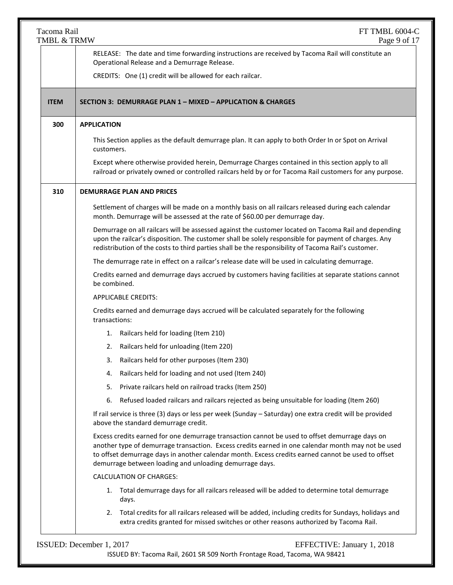| Tacoma Rail<br>TMBL & TRMW | FT TMBL 6004-C<br>Page 9 of 17                                                                                                                                                                                                                                                                                                                                        |
|----------------------------|-----------------------------------------------------------------------------------------------------------------------------------------------------------------------------------------------------------------------------------------------------------------------------------------------------------------------------------------------------------------------|
|                            | RELEASE: The date and time forwarding instructions are received by Tacoma Rail will constitute an<br>Operational Release and a Demurrage Release.                                                                                                                                                                                                                     |
|                            | CREDITS: One (1) credit will be allowed for each railcar.                                                                                                                                                                                                                                                                                                             |
| <b>ITEM</b>                | SECTION 3: DEMURRAGE PLAN 1 - MIXED - APPLICATION & CHARGES                                                                                                                                                                                                                                                                                                           |
| 300<br><b>APPLICATION</b>  |                                                                                                                                                                                                                                                                                                                                                                       |
|                            | This Section applies as the default demurrage plan. It can apply to both Order In or Spot on Arrival<br>customers.                                                                                                                                                                                                                                                    |
|                            | Except where otherwise provided herein, Demurrage Charges contained in this section apply to all<br>railroad or privately owned or controlled railcars held by or for Tacoma Rail customers for any purpose.                                                                                                                                                          |
| 310                        | <b>DEMURRAGE PLAN AND PRICES</b>                                                                                                                                                                                                                                                                                                                                      |
|                            | Settlement of charges will be made on a monthly basis on all railcars released during each calendar<br>month. Demurrage will be assessed at the rate of \$60.00 per demurrage day.                                                                                                                                                                                    |
|                            | Demurrage on all railcars will be assessed against the customer located on Tacoma Rail and depending<br>upon the railcar's disposition. The customer shall be solely responsible for payment of charges. Any<br>redistribution of the costs to third parties shall be the responsibility of Tacoma Rail's customer.                                                   |
|                            | The demurrage rate in effect on a railcar's release date will be used in calculating demurrage.                                                                                                                                                                                                                                                                       |
|                            | Credits earned and demurrage days accrued by customers having facilities at separate stations cannot<br>be combined.                                                                                                                                                                                                                                                  |
|                            | <b>APPLICABLE CREDITS:</b>                                                                                                                                                                                                                                                                                                                                            |
|                            | Credits earned and demurrage days accrued will be calculated separately for the following<br>transactions:                                                                                                                                                                                                                                                            |
|                            | Railcars held for loading (Item 210)<br>1.                                                                                                                                                                                                                                                                                                                            |
|                            | Railcars held for unloading (Item 220)<br>2.                                                                                                                                                                                                                                                                                                                          |
|                            | Railcars held for other purposes (Item 230)<br>3.                                                                                                                                                                                                                                                                                                                     |
|                            | Railcars held for loading and not used (Item 240)<br>4.                                                                                                                                                                                                                                                                                                               |
|                            | Private railcars held on railroad tracks (Item 250)<br>5.                                                                                                                                                                                                                                                                                                             |
|                            | Refused loaded railcars and railcars rejected as being unsuitable for loading (Item 260)<br>6.                                                                                                                                                                                                                                                                        |
|                            | If rail service is three (3) days or less per week (Sunday - Saturday) one extra credit will be provided<br>above the standard demurrage credit.                                                                                                                                                                                                                      |
|                            | Excess credits earned for one demurrage transaction cannot be used to offset demurrage days on<br>another type of demurrage transaction. Excess credits earned in one calendar month may not be used<br>to offset demurrage days in another calendar month. Excess credits earned cannot be used to offset<br>demurrage between loading and unloading demurrage days. |
|                            | <b>CALCULATION OF CHARGES:</b>                                                                                                                                                                                                                                                                                                                                        |
|                            | Total demurrage days for all railcars released will be added to determine total demurrage<br>1.<br>days.                                                                                                                                                                                                                                                              |
|                            | Total credits for all railcars released will be added, including credits for Sundays, holidays and<br>2.<br>extra credits granted for missed switches or other reasons authorized by Tacoma Rail.                                                                                                                                                                     |
| ISSUED: December 1, 2017   | EFFECTIVE: January 1, 2018                                                                                                                                                                                                                                                                                                                                            |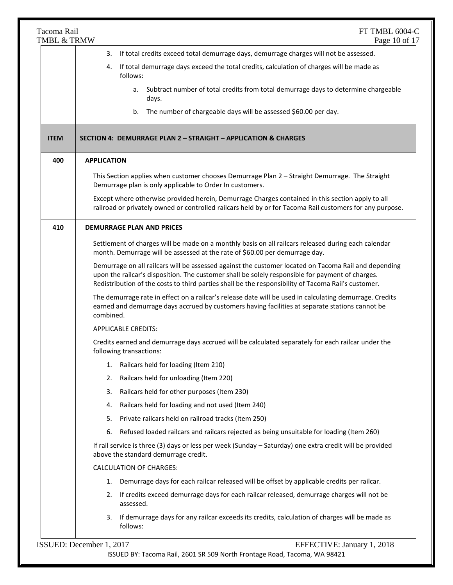| Tacoma Rail<br>TMBL & TRMW | FT TMBL 6004-C<br>Page 10 of 17                                                                                                                                                                                                                                                                                 |
|----------------------------|-----------------------------------------------------------------------------------------------------------------------------------------------------------------------------------------------------------------------------------------------------------------------------------------------------------------|
|                            | If total credits exceed total demurrage days, demurrage charges will not be assessed.<br>3.                                                                                                                                                                                                                     |
|                            | If total demurrage days exceed the total credits, calculation of charges will be made as<br>4.<br>follows:                                                                                                                                                                                                      |
|                            | Subtract number of total credits from total demurrage days to determine chargeable<br>а.<br>days.                                                                                                                                                                                                               |
|                            | b. The number of chargeable days will be assessed \$60.00 per day.                                                                                                                                                                                                                                              |
| <b>ITEM</b>                | SECTION 4: DEMURRAGE PLAN 2 - STRAIGHT - APPLICATION & CHARGES                                                                                                                                                                                                                                                  |
| 400                        | <b>APPLICATION</b>                                                                                                                                                                                                                                                                                              |
|                            | This Section applies when customer chooses Demurrage Plan 2 - Straight Demurrage. The Straight<br>Demurrage plan is only applicable to Order In customers.                                                                                                                                                      |
|                            | Except where otherwise provided herein, Demurrage Charges contained in this section apply to all<br>railroad or privately owned or controlled railcars held by or for Tacoma Rail customers for any purpose.                                                                                                    |
| 410                        | <b>DEMURRAGE PLAN AND PRICES</b>                                                                                                                                                                                                                                                                                |
|                            | Settlement of charges will be made on a monthly basis on all railcars released during each calendar<br>month. Demurrage will be assessed at the rate of \$60.00 per demurrage day.                                                                                                                              |
|                            | Demurrage on all railcars will be assessed against the customer located on Tacoma Rail and depending<br>upon the railcar's disposition. The customer shall be solely responsible for payment of charges.<br>Redistribution of the costs to third parties shall be the responsibility of Tacoma Rail's customer. |
|                            | The demurrage rate in effect on a railcar's release date will be used in calculating demurrage. Credits<br>earned and demurrage days accrued by customers having facilities at separate stations cannot be<br>combined.                                                                                         |
|                            | <b>APPLICABLE CREDITS:</b>                                                                                                                                                                                                                                                                                      |
|                            | Credits earned and demurrage days accrued will be calculated separately for each railcar under the<br>following transactions:                                                                                                                                                                                   |
|                            | Railcars held for loading (Item 210)<br>1.                                                                                                                                                                                                                                                                      |
|                            | Railcars held for unloading (Item 220)<br>2.                                                                                                                                                                                                                                                                    |
|                            | Railcars held for other purposes (Item 230)<br>3.                                                                                                                                                                                                                                                               |
|                            | Railcars held for loading and not used (Item 240)<br>4.                                                                                                                                                                                                                                                         |
|                            | Private railcars held on railroad tracks (Item 250)<br>5.                                                                                                                                                                                                                                                       |
|                            | Refused loaded railcars and railcars rejected as being unsuitable for loading (Item 260)<br>6.                                                                                                                                                                                                                  |
|                            | If rail service is three (3) days or less per week (Sunday - Saturday) one extra credit will be provided<br>above the standard demurrage credit.                                                                                                                                                                |
|                            | <b>CALCULATION OF CHARGES:</b>                                                                                                                                                                                                                                                                                  |
|                            | Demurrage days for each railcar released will be offset by applicable credits per railcar.<br>1.                                                                                                                                                                                                                |
|                            | If credits exceed demurrage days for each railcar released, demurrage charges will not be<br>2.<br>assessed.                                                                                                                                                                                                    |
|                            | If demurrage days for any railcar exceeds its credits, calculation of charges will be made as<br>3.<br>follows:                                                                                                                                                                                                 |
|                            | ISSUED: December 1, 2017<br>EFFECTIVE: January 1, 2018<br>ISSUED BY: Tacoma Rail, 2601 SR 509 North Frontage Road, Tacoma, WA 98421                                                                                                                                                                             |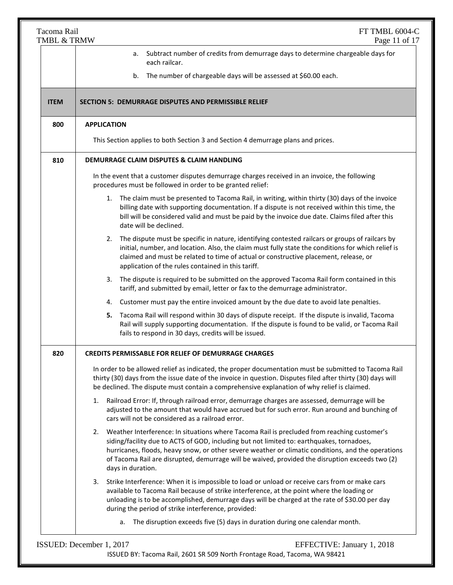| Tacoma Rail<br>TMBL & TRMW | FT TMBL 6004-C<br>Page 11 of 17                                                                                                                                                                                                                                                                                                                                                                                              |
|----------------------------|------------------------------------------------------------------------------------------------------------------------------------------------------------------------------------------------------------------------------------------------------------------------------------------------------------------------------------------------------------------------------------------------------------------------------|
|                            | Subtract number of credits from demurrage days to determine chargeable days for<br>а.<br>each railcar.                                                                                                                                                                                                                                                                                                                       |
|                            | The number of chargeable days will be assessed at \$60.00 each.<br>b.                                                                                                                                                                                                                                                                                                                                                        |
| <b>ITEM</b>                | <b>SECTION 5: DEMURRAGE DISPUTES AND PERMISSIBLE RELIEF</b>                                                                                                                                                                                                                                                                                                                                                                  |
| 800                        | <b>APPLICATION</b>                                                                                                                                                                                                                                                                                                                                                                                                           |
|                            | This Section applies to both Section 3 and Section 4 demurrage plans and prices.                                                                                                                                                                                                                                                                                                                                             |
| 810                        | DEMURRAGE CLAIM DISPUTES & CLAIM HANDLING                                                                                                                                                                                                                                                                                                                                                                                    |
|                            | In the event that a customer disputes demurrage charges received in an invoice, the following<br>procedures must be followed in order to be granted relief:                                                                                                                                                                                                                                                                  |
|                            | 1. The claim must be presented to Tacoma Rail, in writing, within thirty (30) days of the invoice<br>billing date with supporting documentation. If a dispute is not received within this time, the<br>bill will be considered valid and must be paid by the invoice due date. Claims filed after this<br>date will be declined.                                                                                             |
|                            | The dispute must be specific in nature, identifying contested railcars or groups of railcars by<br>2.<br>initial, number, and location. Also, the claim must fully state the conditions for which relief is<br>claimed and must be related to time of actual or constructive placement, release, or<br>application of the rules contained in this tariff.                                                                    |
|                            | The dispute is required to be submitted on the approved Tacoma Rail form contained in this<br>3.<br>tariff, and submitted by email, letter or fax to the demurrage administrator.                                                                                                                                                                                                                                            |
|                            | 4. Customer must pay the entire invoiced amount by the due date to avoid late penalties.                                                                                                                                                                                                                                                                                                                                     |
|                            | Tacoma Rail will respond within 30 days of dispute receipt. If the dispute is invalid, Tacoma<br>5.<br>Rail will supply supporting documentation. If the dispute is found to be valid, or Tacoma Rail<br>fails to respond in 30 days, credits will be issued.                                                                                                                                                                |
| 820                        | <b>CREDITS PERMISSABLE FOR RELIEF OF DEMURRAGE CHARGES</b>                                                                                                                                                                                                                                                                                                                                                                   |
|                            | In order to be allowed relief as indicated, the proper documentation must be submitted to Tacoma Rail<br>thirty (30) days from the issue date of the invoice in question. Disputes filed after thirty (30) days will<br>be declined. The dispute must contain a comprehensive explanation of why relief is claimed.                                                                                                          |
|                            | Railroad Error: If, through railroad error, demurrage charges are assessed, demurrage will be<br>1.<br>adjusted to the amount that would have accrued but for such error. Run around and bunching of<br>cars will not be considered as a railroad error.                                                                                                                                                                     |
|                            | Weather Interference: In situations where Tacoma Rail is precluded from reaching customer's<br>2.<br>siding/facility due to ACTS of GOD, including but not limited to: earthquakes, tornadoes,<br>hurricanes, floods, heavy snow, or other severe weather or climatic conditions, and the operations<br>of Tacoma Rail are disrupted, demurrage will be waived, provided the disruption exceeds two (2)<br>days in duration. |
|                            | Strike Interference: When it is impossible to load or unload or receive cars from or make cars<br>3.<br>available to Tacoma Rail because of strike interference, at the point where the loading or<br>unloading is to be accomplished, demurrage days will be charged at the rate of \$30.00 per day<br>during the period of strike interference, provided:                                                                  |
|                            | a. The disruption exceeds five (5) days in duration during one calendar month.                                                                                                                                                                                                                                                                                                                                               |

ISSUED: December 1, 2017 EFFECTIVE: January 1, 2018 ISSUED BY: Tacoma Rail, 2601 SR 509 North Frontage Road, Tacoma, WA 98421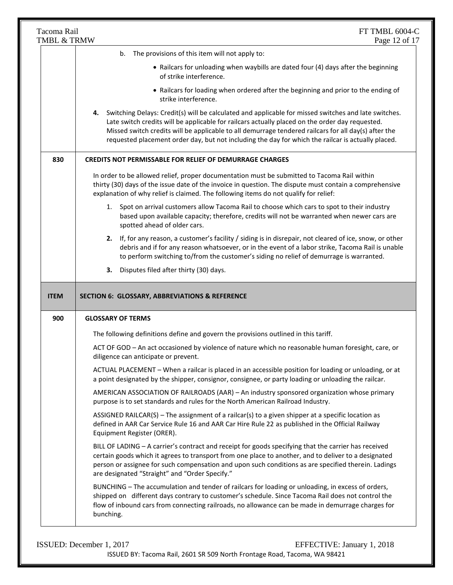|             | Tacoma Rail<br>FT TMBL 6004-C<br>TMBL & TRMW<br>Page 12 of 17                                                                                                                                                                                                                                                                                                                                                               |
|-------------|-----------------------------------------------------------------------------------------------------------------------------------------------------------------------------------------------------------------------------------------------------------------------------------------------------------------------------------------------------------------------------------------------------------------------------|
|             | b. The provisions of this item will not apply to:                                                                                                                                                                                                                                                                                                                                                                           |
|             | • Railcars for unloading when waybills are dated four (4) days after the beginning<br>of strike interference.                                                                                                                                                                                                                                                                                                               |
|             | • Railcars for loading when ordered after the beginning and prior to the ending of<br>strike interference.                                                                                                                                                                                                                                                                                                                  |
|             | Switching Delays: Credit(s) will be calculated and applicable for missed switches and late switches.<br>4.<br>Late switch credits will be applicable for railcars actually placed on the order day requested.<br>Missed switch credits will be applicable to all demurrage tendered railcars for all day(s) after the<br>requested placement order day, but not including the day for which the railcar is actually placed. |
| 830         | <b>CREDITS NOT PERMISSABLE FOR RELIEF OF DEMURRAGE CHARGES</b>                                                                                                                                                                                                                                                                                                                                                              |
|             | In order to be allowed relief, proper documentation must be submitted to Tacoma Rail within<br>thirty (30) days of the issue date of the invoice in question. The dispute must contain a comprehensive<br>explanation of why relief is claimed. The following items do not qualify for relief:                                                                                                                              |
|             | Spot on arrival customers allow Tacoma Rail to choose which cars to spot to their industry<br>1.<br>based upon available capacity; therefore, credits will not be warranted when newer cars are<br>spotted ahead of older cars.                                                                                                                                                                                             |
|             | If, for any reason, a customer's facility / siding is in disrepair, not cleared of ice, snow, or other<br>2.<br>debris and if for any reason whatsoever, or in the event of a labor strike, Tacoma Rail is unable                                                                                                                                                                                                           |
|             | to perform switching to/from the customer's siding no relief of demurrage is warranted.                                                                                                                                                                                                                                                                                                                                     |
|             | Disputes filed after thirty (30) days.<br>3.                                                                                                                                                                                                                                                                                                                                                                                |
| <b>ITEM</b> | SECTION 6: GLOSSARY, ABBREVIATIONS & REFERENCE                                                                                                                                                                                                                                                                                                                                                                              |
| 900         | <b>GLOSSARY OF TERMS</b>                                                                                                                                                                                                                                                                                                                                                                                                    |
|             | The following definitions define and govern the provisions outlined in this tariff.<br>ACT OF GOD - An act occasioned by violence of nature which no reasonable human foresight, care, or<br>diligence can anticipate or prevent.                                                                                                                                                                                           |
|             | ACTUAL PLACEMENT - When a railcar is placed in an accessible position for loading or unloading, or at<br>a point designated by the shipper, consignor, consignee, or party loading or unloading the railcar.                                                                                                                                                                                                                |
|             | AMERICAN ASSOCIATION OF RAILROADS (AAR) - An industry sponsored organization whose primary<br>purpose is to set standards and rules for the North American Railroad Industry.                                                                                                                                                                                                                                               |
|             | ASSIGNED RAILCAR(S) – The assignment of a railcar(s) to a given shipper at a specific location as<br>defined in AAR Car Service Rule 16 and AAR Car Hire Rule 22 as published in the Official Railway<br>Equipment Register (ORER).                                                                                                                                                                                         |
|             | BILL OF LADING - A carrier's contract and receipt for goods specifying that the carrier has received<br>certain goods which it agrees to transport from one place to another, and to deliver to a designated<br>person or assignee for such compensation and upon such conditions as are specified therein. Ladings<br>are designated "Straight" and "Order Specify."                                                       |

ISSUED: December 1, 2017 EFFECTIVE: January 1, 2018 ISSUED BY: Tacoma Rail, 2601 SR 509 North Frontage Road, Tacoma, WA 98421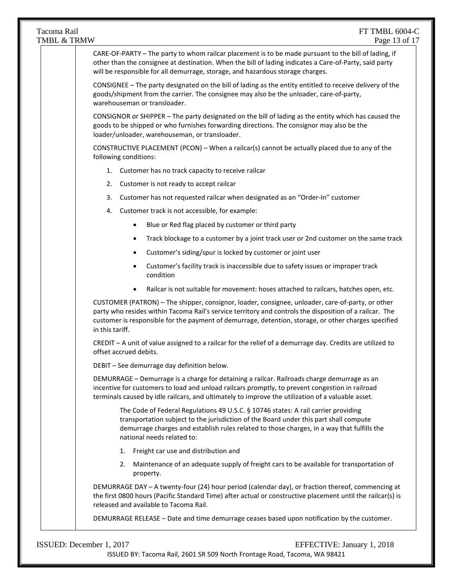TMBL & TRMW Page 13 of 17 ISSUED: December 1, 2017 EFFECTIVE: January 1, 2018 CARE-OF-PARTY – The party to whom railcar placement is to be made pursuant to the bill of lading, if other than the consignee at destination. When the bill of lading indicates a Care-of-Party, said party will be responsible for all demurrage, storage, and hazardous storage charges. CONSIGNEE – The party designated on the bill of lading as the entity entitled to receive delivery of the goods/shipment from the carrier. The consignee may also be the unloader, care-of-party, warehouseman or transloader. CONSIGNOR or SHIPPER – The party designated on the bill of lading as the entity which has caused the goods to be shipped or who furnishes forwarding directions. The consignor may also be the loader/unloader, warehouseman, or transloader. CONSTRUCTIVE PLACEMENT (PCON) – When a railcar(s) cannot be actually placed due to any of the following conditions: 1. Customer has no track capacity to receive railcar 2. Customer is not ready to accept railcar 3. Customer has not requested railcar when designated as an "Order-In" customer 4. Customer track is not accessible, for example: Blue or Red flag placed by customer or third party Track blockage to a customer by a joint track user or 2nd customer on the same track Customer's siding/spur is locked by customer or joint user Customer's facility track is inaccessible due to safety issues or improper track condition Railcar is not suitable for movement: hoses attached to railcars, hatches open, etc. CUSTOMER (PATRON) – The shipper, consignor, loader, consignee, unloader, care-of-party, or other party who resides within Tacoma Rail's service territory and controls the disposition of a railcar. The customer is responsible for the payment of demurrage, detention, storage, or other charges specified in this tariff. CREDIT – A unit of value assigned to a railcar for the relief of a demurrage day. Credits are utilized to offset accrued debits. DEBIT – See demurrage day definition below. DEMURRAGE – Demurrage is a charge for detaining a railcar. Railroads charge demurrage as an incentive for customers to load and unload railcars promptly, to prevent congestion in railroad terminals caused by idle railcars, and ultimately to improve the utilization of a valuable asset. The Code of Federal Regulations 49 U.S.C. § 10746 states: A rail carrier providing transportation subject to the jurisdiction of the Board under this part shall compute demurrage charges and establish rules related to those charges, in a way that fulfills the national needs related to: 1. Freight car use and distribution and 2. Maintenance of an adequate supply of freight cars to be available for transportation of property. DEMURRAGE DAY – A twenty-four (24) hour period (calendar day), or fraction thereof, commencing at the first 0800 hours (Pacific Standard Time) after actual or constructive placement until the railcar(s) is released and available to Tacoma Rail. DEMURRAGE RELEASE – Date and time demurrage ceases based upon notification by the customer.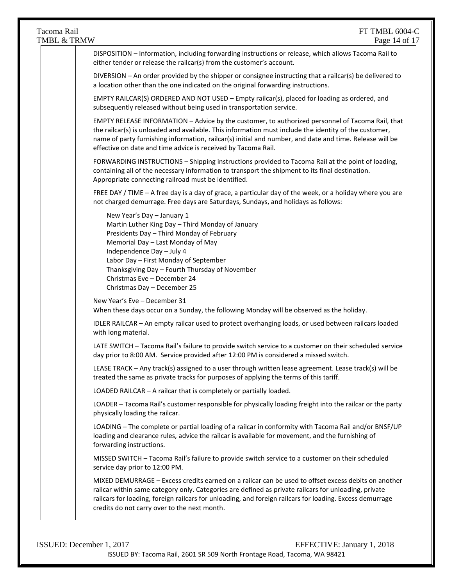| DISPOSITION - Information, including forwarding instructions or release, which allows Tacoma Rail to                                                                                                                                                                                                                    |
|-------------------------------------------------------------------------------------------------------------------------------------------------------------------------------------------------------------------------------------------------------------------------------------------------------------------------|
|                                                                                                                                                                                                                                                                                                                         |
| DIVERSION - An order provided by the shipper or consignee instructing that a railcar(s) be delivered to                                                                                                                                                                                                                 |
| EMPTY RAILCAR(S) ORDERED AND NOT USED - Empty railcar(s), placed for loading as ordered, and                                                                                                                                                                                                                            |
| EMPTY RELEASE INFORMATION - Advice by the customer, to authorized personnel of Tacoma Rail, that<br>the railcar(s) is unloaded and available. This information must include the identity of the customer,<br>name of party furnishing information, railcar(s) initial and number, and date and time. Release will be    |
| FORWARDING INSTRUCTIONS - Shipping instructions provided to Tacoma Rail at the point of loading,<br>containing all of the necessary information to transport the shipment to its final destination.                                                                                                                     |
| FREE DAY / TIME - A free day is a day of grace, a particular day of the week, or a holiday where you are                                                                                                                                                                                                                |
|                                                                                                                                                                                                                                                                                                                         |
| When these days occur on a Sunday, the following Monday will be observed as the holiday.                                                                                                                                                                                                                                |
| IDLER RAILCAR - An empty railcar used to protect overhanging loads, or used between railcars loaded                                                                                                                                                                                                                     |
| LATE SWITCH - Tacoma Rail's failure to provide switch service to a customer on their scheduled service<br>day prior to 8:00 AM. Service provided after 12:00 PM is considered a missed switch.                                                                                                                          |
| LEASE TRACK - Any track(s) assigned to a user through written lease agreement. Lease track(s) will be                                                                                                                                                                                                                   |
|                                                                                                                                                                                                                                                                                                                         |
| LOADER - Tacoma Rail's customer responsible for physically loading freight into the railcar or the party                                                                                                                                                                                                                |
| LOADING - The complete or partial loading of a railcar in conformity with Tacoma Rail and/or BNSF/UP<br>loading and clearance rules, advice the railcar is available for movement, and the furnishing of                                                                                                                |
| MISSED SWITCH - Tacoma Rail's failure to provide switch service to a customer on their scheduled                                                                                                                                                                                                                        |
| MIXED DEMURRAGE - Excess credits earned on a railcar can be used to offset excess debits on another<br>railcar within same category only. Categories are defined as private railcars for unloading, private<br>railcars for loading, foreign railcars for unloading, and foreign railcars for loading. Excess demurrage |
|                                                                                                                                                                                                                                                                                                                         |

ISSUED: December 1, 2017 EFFECTIVE: January 1, 2018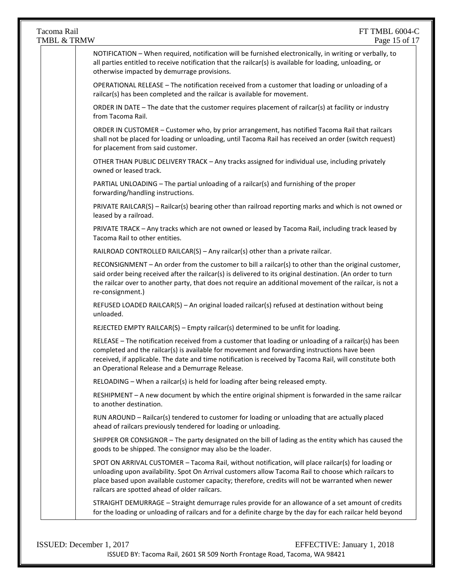# TMBL  $&$  TRMW

| NOTIFICATION - When required, notification will be furnished electronically, in writing or verbally, to<br>all parties entitled to receive notification that the railcar(s) is available for loading, unloading, or<br>otherwise impacted by demurrage provisions.                                                                                                    |
|-----------------------------------------------------------------------------------------------------------------------------------------------------------------------------------------------------------------------------------------------------------------------------------------------------------------------------------------------------------------------|
| OPERATIONAL RELEASE - The notification received from a customer that loading or unloading of a<br>railcar(s) has been completed and the railcar is available for movement.                                                                                                                                                                                            |
| ORDER IN DATE - The date that the customer requires placement of railcar(s) at facility or industry<br>from Tacoma Rail.                                                                                                                                                                                                                                              |
| ORDER IN CUSTOMER - Customer who, by prior arrangement, has notified Tacoma Rail that railcars<br>shall not be placed for loading or unloading, until Tacoma Rail has received an order (switch request)<br>for placement from said customer.                                                                                                                         |
| OTHER THAN PUBLIC DELIVERY TRACK - Any tracks assigned for individual use, including privately<br>owned or leased track.                                                                                                                                                                                                                                              |
| PARTIAL UNLOADING - The partial unloading of a railcar(s) and furnishing of the proper<br>forwarding/handling instructions.                                                                                                                                                                                                                                           |
| PRIVATE RAILCAR(S) - Railcar(s) bearing other than railroad reporting marks and which is not owned or<br>leased by a railroad.                                                                                                                                                                                                                                        |
| PRIVATE TRACK - Any tracks which are not owned or leased by Tacoma Rail, including track leased by<br>Tacoma Rail to other entities.                                                                                                                                                                                                                                  |
| RAILROAD CONTROLLED RAILCAR(S) - Any railcar(s) other than a private railcar.                                                                                                                                                                                                                                                                                         |
| RECONSIGNMENT - An order from the customer to bill a railcar(s) to other than the original customer,<br>said order being received after the railcar(s) is delivered to its original destination. (An order to turn<br>the railcar over to another party, that does not require an additional movement of the railcar, is not a<br>re-consignment.)                    |
| REFUSED LOADED RAILCAR(S) - An original loaded railcar(s) refused at destination without being<br>unloaded.                                                                                                                                                                                                                                                           |
| REJECTED EMPTY RAILCAR(S) - Empty railcar(s) determined to be unfit for loading.                                                                                                                                                                                                                                                                                      |
| RELEASE - The notification received from a customer that loading or unloading of a railcar(s) has been<br>completed and the railcar(s) is available for movement and forwarding instructions have been<br>received, if applicable. The date and time notification is received by Tacoma Rail, will constitute both<br>an Operational Release and a Demurrage Release. |
| RELOADING - When a railcar(s) is held for loading after being released empty.                                                                                                                                                                                                                                                                                         |
| RESHIPMENT - A new document by which the entire original shipment is forwarded in the same railcar<br>to another destination.                                                                                                                                                                                                                                         |
| RUN AROUND - Railcar(s) tendered to customer for loading or unloading that are actually placed<br>ahead of railcars previously tendered for loading or unloading.                                                                                                                                                                                                     |
| SHIPPER OR CONSIGNOR - The party designated on the bill of lading as the entity which has caused the<br>goods to be shipped. The consignor may also be the loader.                                                                                                                                                                                                    |
| SPOT ON ARRIVAL CUSTOMER - Tacoma Rail, without notification, will place railcar(s) for loading or<br>unloading upon availability. Spot On Arrival customers allow Tacoma Rail to choose which railcars to<br>place based upon available customer capacity; therefore, credits will not be warranted when newer<br>railcars are spotted ahead of older railcars.      |
| STRAIGHT DEMURRAGE - Straight demurrage rules provide for an allowance of a set amount of credits<br>for the loading or unloading of railcars and for a definite charge by the day for each railcar held beyond                                                                                                                                                       |
|                                                                                                                                                                                                                                                                                                                                                                       |

| <b>ISSUED:</b> December 1, 2017 | EFFECTIVE: January 1, 2018                                                |
|---------------------------------|---------------------------------------------------------------------------|
|                                 | ISSUED BY: Tacoma Rail, 2601 SR 509 North Frontage Road, Tacoma, WA 98421 |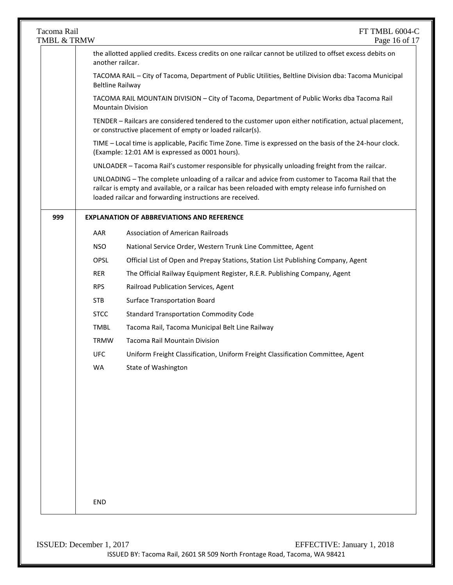| Tacoma Rail<br>TMBL & TRMW |                                                                                                                                                                                                                                                                                                                                                                                                                                                                                                                                                                                                                                                                                                                                 | FT TMBL 6004-C<br>Page 16 of 17                                                                                                                                                                                                                                     |  |  |  |
|----------------------------|---------------------------------------------------------------------------------------------------------------------------------------------------------------------------------------------------------------------------------------------------------------------------------------------------------------------------------------------------------------------------------------------------------------------------------------------------------------------------------------------------------------------------------------------------------------------------------------------------------------------------------------------------------------------------------------------------------------------------------|---------------------------------------------------------------------------------------------------------------------------------------------------------------------------------------------------------------------------------------------------------------------|--|--|--|
|                            | the allotted applied credits. Excess credits on one railcar cannot be utilized to offset excess debits on<br>another railcar.<br>TACOMA RAIL - City of Tacoma, Department of Public Utilities, Beltline Division dba: Tacoma Municipal<br><b>Beltline Railway</b><br>TACOMA RAIL MOUNTAIN DIVISION - City of Tacoma, Department of Public Works dba Tacoma Rail<br><b>Mountain Division</b><br>TENDER - Railcars are considered tendered to the customer upon either notification, actual placement,<br>or constructive placement of empty or loaded railcar(s).<br>TIME - Local time is applicable, Pacific Time Zone. Time is expressed on the basis of the 24-hour clock.<br>(Example: 12:01 AM is expressed as 0001 hours). |                                                                                                                                                                                                                                                                     |  |  |  |
|                            |                                                                                                                                                                                                                                                                                                                                                                                                                                                                                                                                                                                                                                                                                                                                 |                                                                                                                                                                                                                                                                     |  |  |  |
|                            |                                                                                                                                                                                                                                                                                                                                                                                                                                                                                                                                                                                                                                                                                                                                 |                                                                                                                                                                                                                                                                     |  |  |  |
|                            |                                                                                                                                                                                                                                                                                                                                                                                                                                                                                                                                                                                                                                                                                                                                 |                                                                                                                                                                                                                                                                     |  |  |  |
|                            |                                                                                                                                                                                                                                                                                                                                                                                                                                                                                                                                                                                                                                                                                                                                 |                                                                                                                                                                                                                                                                     |  |  |  |
|                            |                                                                                                                                                                                                                                                                                                                                                                                                                                                                                                                                                                                                                                                                                                                                 | UNLOADER - Tacoma Rail's customer responsible for physically unloading freight from the railcar.                                                                                                                                                                    |  |  |  |
|                            |                                                                                                                                                                                                                                                                                                                                                                                                                                                                                                                                                                                                                                                                                                                                 | UNLOADING - The complete unloading of a railcar and advice from customer to Tacoma Rail that the<br>railcar is empty and available, or a railcar has been reloaded with empty release info furnished on<br>loaded railcar and forwarding instructions are received. |  |  |  |
| 999                        |                                                                                                                                                                                                                                                                                                                                                                                                                                                                                                                                                                                                                                                                                                                                 | <b>EXPLANATION OF ABBREVIATIONS AND REFERENCE</b>                                                                                                                                                                                                                   |  |  |  |
|                            | AAR                                                                                                                                                                                                                                                                                                                                                                                                                                                                                                                                                                                                                                                                                                                             | <b>Association of American Railroads</b>                                                                                                                                                                                                                            |  |  |  |
|                            | <b>NSO</b>                                                                                                                                                                                                                                                                                                                                                                                                                                                                                                                                                                                                                                                                                                                      | National Service Order, Western Trunk Line Committee, Agent                                                                                                                                                                                                         |  |  |  |
|                            | <b>OPSL</b>                                                                                                                                                                                                                                                                                                                                                                                                                                                                                                                                                                                                                                                                                                                     | Official List of Open and Prepay Stations, Station List Publishing Company, Agent                                                                                                                                                                                   |  |  |  |
|                            | <b>RER</b>                                                                                                                                                                                                                                                                                                                                                                                                                                                                                                                                                                                                                                                                                                                      | The Official Railway Equipment Register, R.E.R. Publishing Company, Agent                                                                                                                                                                                           |  |  |  |
|                            | <b>RPS</b>                                                                                                                                                                                                                                                                                                                                                                                                                                                                                                                                                                                                                                                                                                                      | Railroad Publication Services, Agent                                                                                                                                                                                                                                |  |  |  |
|                            | <b>STB</b>                                                                                                                                                                                                                                                                                                                                                                                                                                                                                                                                                                                                                                                                                                                      | <b>Surface Transportation Board</b>                                                                                                                                                                                                                                 |  |  |  |
|                            | <b>STCC</b>                                                                                                                                                                                                                                                                                                                                                                                                                                                                                                                                                                                                                                                                                                                     | <b>Standard Transportation Commodity Code</b>                                                                                                                                                                                                                       |  |  |  |
|                            | <b>TMBL</b>                                                                                                                                                                                                                                                                                                                                                                                                                                                                                                                                                                                                                                                                                                                     | Tacoma Rail, Tacoma Municipal Belt Line Railway                                                                                                                                                                                                                     |  |  |  |
|                            | <b>TRMW</b>                                                                                                                                                                                                                                                                                                                                                                                                                                                                                                                                                                                                                                                                                                                     | Tacoma Rail Mountain Division                                                                                                                                                                                                                                       |  |  |  |
|                            | <b>UFC</b>                                                                                                                                                                                                                                                                                                                                                                                                                                                                                                                                                                                                                                                                                                                      | Uniform Freight Classification, Uniform Freight Classification Committee, Agent                                                                                                                                                                                     |  |  |  |
|                            | WA                                                                                                                                                                                                                                                                                                                                                                                                                                                                                                                                                                                                                                                                                                                              | State of Washington                                                                                                                                                                                                                                                 |  |  |  |
|                            |                                                                                                                                                                                                                                                                                                                                                                                                                                                                                                                                                                                                                                                                                                                                 |                                                                                                                                                                                                                                                                     |  |  |  |
|                            |                                                                                                                                                                                                                                                                                                                                                                                                                                                                                                                                                                                                                                                                                                                                 |                                                                                                                                                                                                                                                                     |  |  |  |
|                            |                                                                                                                                                                                                                                                                                                                                                                                                                                                                                                                                                                                                                                                                                                                                 |                                                                                                                                                                                                                                                                     |  |  |  |
|                            |                                                                                                                                                                                                                                                                                                                                                                                                                                                                                                                                                                                                                                                                                                                                 |                                                                                                                                                                                                                                                                     |  |  |  |
|                            | END                                                                                                                                                                                                                                                                                                                                                                                                                                                                                                                                                                                                                                                                                                                             |                                                                                                                                                                                                                                                                     |  |  |  |

ISSUED: December 1, 2017 EFFECTIVE: January 1, 2018 ISSUED BY: Tacoma Rail, 2601 SR 509 North Frontage Road, Tacoma, WA 98421